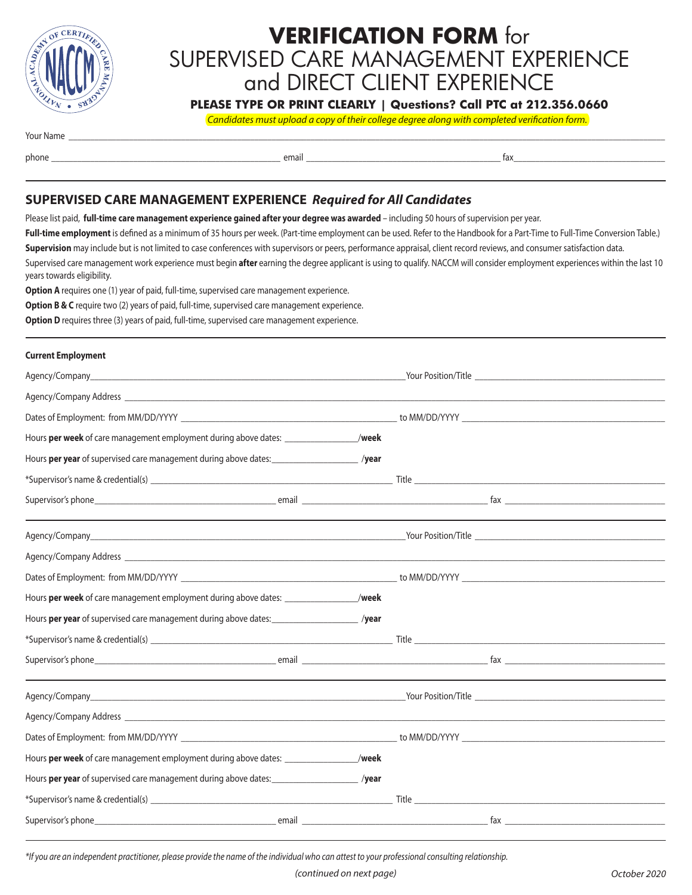

# **VERIFICATION FORM** for SUPERVISED CARE MANAGEMENT EXPERIENCE and DIRECT CLIENT EXPERIENCE

**PLEASE TYPE OR PRINT CLEARLY | Questions? Call PTC at 212.356.0660**

*Candidates must upload a copy of their college degree along with completed verification form.*

Your Name \_\_\_\_\_\_\_\_\_\_\_\_\_\_\_\_\_\_\_\_\_\_\_\_\_\_\_\_\_\_\_\_\_\_\_\_\_\_\_\_\_\_\_\_\_\_\_\_\_\_\_\_\_\_\_\_\_\_\_\_\_\_\_\_\_\_\_\_\_\_\_\_\_\_\_\_\_\_\_\_\_\_\_\_\_\_\_\_\_\_\_\_\_\_\_\_\_\_\_\_\_\_\_\_\_\_\_\_\_\_\_\_\_\_\_\_\_\_\_\_\_\_\_\_\_\_\_\_\_\_\_\_\_\_\_\_\_\_

phone \_\_\_\_\_\_\_\_\_\_\_\_\_\_\_\_\_\_\_\_\_\_\_\_\_\_\_\_\_\_\_\_\_\_\_\_\_\_\_\_\_\_\_\_\_\_\_\_\_\_\_\_\_ email \_\_\_\_\_\_\_\_\_\_\_\_\_\_\_\_\_\_\_\_\_\_\_\_\_\_\_\_\_\_\_\_\_\_\_\_\_\_\_\_\_\_\_\_\_ fax\_\_\_\_\_\_\_\_\_\_\_\_\_\_\_\_\_\_\_\_\_\_\_\_\_\_\_\_\_\_\_\_\_\_\_

## **SUPERVISED CARE MANAGEMENT EXPERIENCE** *Required for All Candidates*

Please list paid, **full-time care management experience gained after your degree was awarded** – including 50 hours of supervision per year.

Full-time employment is defined as a minimum of 35 hours per week. (Part-time employment can be used. Refer to the Handbook for a Part-Time to Full-Time Conversion Table.) **Supervision** may include but is not limited to case conferences with supervisors or peers, performance appraisal, client record reviews, and consumer satisfaction data. Supervised care management work experience must begin **after** earning the degree applicant is using to qualify. NACCM will consider employment experiences within the last 10 years towards eligibility.

**Option A** requires one (1) year of paid, full-time, supervised care management experience.

**Option B & C** require two (2) years of paid, full-time, supervised care management experience.

**Option D** requires three (3) years of paid, full-time, supervised care management experience.

#### **Current Employment**

| Hours per week of care management employment during above dates: ________________/week      |  |  |
|---------------------------------------------------------------------------------------------|--|--|
| Hours per year of supervised care management during above dates: _____________________/year |  |  |
|                                                                                             |  |  |
|                                                                                             |  |  |
|                                                                                             |  |  |
|                                                                                             |  |  |
|                                                                                             |  |  |
| Hours per week of care management employment during above dates: ________________/week      |  |  |
| Hours per year of supervised care management during above dates: _____________________/year |  |  |
|                                                                                             |  |  |
|                                                                                             |  |  |
|                                                                                             |  |  |
|                                                                                             |  |  |
|                                                                                             |  |  |
| Hours per week of care management employment during above dates: ________________/week      |  |  |
| Hours per year of supervised care management during above dates: _____________________/year |  |  |
|                                                                                             |  |  |
|                                                                                             |  |  |

*\*If you are an independent practitioner, please provide the name of the individual who can attest to your professional consulting relationship.*